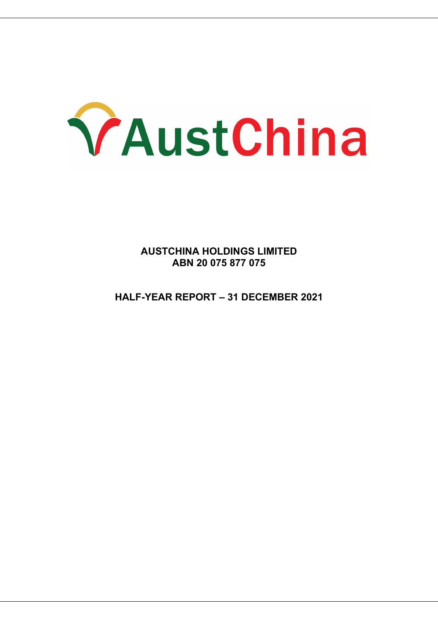

**AUSTCHINA HOLDINGS LIMITED ABN 20 075 877 075**

**HALF-YEAR REPORT – 31 DECEMBER 2021**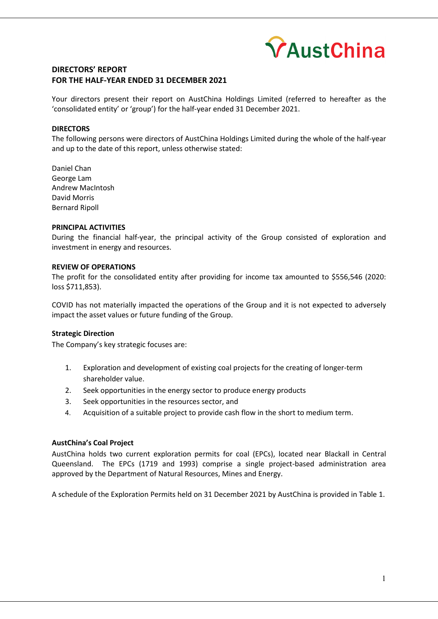

### **DIRECTORS' REPORT FOR THE HALF-YEAR ENDED 31 DECEMBER 2021**

Your directors present their report on AustChina Holdings Limited (referred to hereafter as the 'consolidated entity' or 'group') for the half-year ended 31 December 2021.

### **DIRECTORS**

The following persons were directors of AustChina Holdings Limited during the whole of the half-year and up to the date of this report, unless otherwise stated:

Daniel Chan George Lam Andrew MacIntosh David Morris Bernard Ripoll

#### **PRINCIPAL ACTIVITIES**

During the financial half-year, the principal activity of the Group consisted of exploration and investment in energy and resources.

### **REVIEW OF OPERATIONS**

The profit for the consolidated entity after providing for income tax amounted to \$556,546 (2020: loss \$711,853).

COVID has not materially impacted the operations of the Group and it is not expected to adversely impact the asset values or future funding of the Group.

### **Strategic Direction**

The Company's key strategic focuses are:

- 1. Exploration and development of existing coal projects for the creating of longer-term shareholder value.
- 2. Seek opportunities in the energy sector to produce energy products
- 3. Seek opportunities in the resources sector, and
- 4. Acquisition of a suitable project to provide cash flow in the short to medium term.

### **AustChina's Coal Project**

AustChina holds two current exploration permits for coal (EPCs), located near Blackall in Central Queensland. The EPCs (1719 and 1993) comprise a single project-based administration area approved by the Department of Natural Resources, Mines and Energy.

A schedule of the Exploration Permits held on 31 December 2021 by AustChina is provided in Table 1.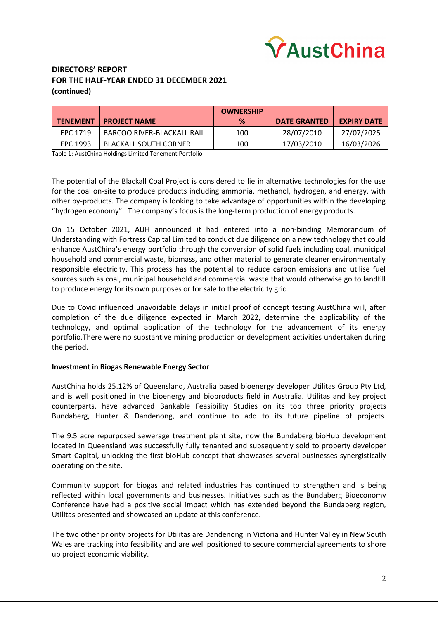

# **DIRECTORS' REPORT FOR THE HALF-YEAR ENDED 31 DECEMBER 2021 (continued)**

|                 |                              | <b>OWNERSHIP</b> |                     |                    |
|-----------------|------------------------------|------------------|---------------------|--------------------|
| <b>TENEMENT</b> | <b>PROJECT NAME</b>          | %                | <b>DATE GRANTED</b> | <b>EXPIRY DATE</b> |
| EPC 1719        | BARCOO RIVER-BLACKALL RAIL   | 100              | 28/07/2010          | 27/07/2025         |
| EPC 1993        | <b>BLACKALL SOUTH CORNER</b> | 100              | 17/03/2010          | 16/03/2026         |

Table 1: AustChina Holdings Limited Tenement Portfolio

The potential of the Blackall Coal Project is considered to lie in alternative technologies for the use for the coal on-site to produce products including ammonia, methanol, hydrogen, and energy, with other by-products. The company is looking to take advantage of opportunities within the developing "hydrogen economy". The company's focus is the long-term production of energy products.

On 15 October 2021, AUH announced it had entered into a non-binding Memorandum of Understanding with Fortress Capital Limited to conduct due diligence on a new technology that could enhance AustChina's energy portfolio through the conversion of solid fuels including coal, municipal household and commercial waste, biomass, and other material to generate cleaner environmentally responsible electricity. This process has the potential to reduce carbon emissions and utilise fuel sources such as coal, municipal household and commercial waste that would otherwise go to landfill to produce energy for its own purposes or for sale to the electricity grid.

Due to Covid influenced unavoidable delays in initial proof of concept testing AustChina will, after completion of the due diligence expected in March 2022, determine the applicability of the technology, and optimal application of the technology for the advancement of its energy portfolio.There were no substantive mining production or development activities undertaken during the period.

### **Investment in Biogas Renewable Energy Sector**

AustChina holds 25.12% of Queensland, Australia based bioenergy developer Utilitas Group Pty Ltd, and is well positioned in the bioenergy and bioproducts field in Australia. Utilitas and key project counterparts, have advanced Bankable Feasibility Studies on its top three priority projects Bundaberg, Hunter & Dandenong, and continue to add to its future pipeline of projects.

The 9.5 acre repurposed sewerage treatment plant site, now the Bundaberg bioHub development located in Queensland was successfully fully tenanted and subsequently sold to property developer Smart Capital, unlocking the first bioHub concept that showcases several businesses synergistically operating on the site.

Community support for biogas and related industries has continued to strengthen and is being reflected within local governments and businesses. Initiatives such as the Bundaberg Bioeconomy Conference have had a positive social impact which has extended beyond the Bundaberg region, Utilitas presented and showcased an update at this conference.

The two other priority projects for Utilitas are Dandenong in Victoria and Hunter Valley in New South Wales are tracking into feasibility and are well positioned to secure commercial agreements to shore up project economic viability.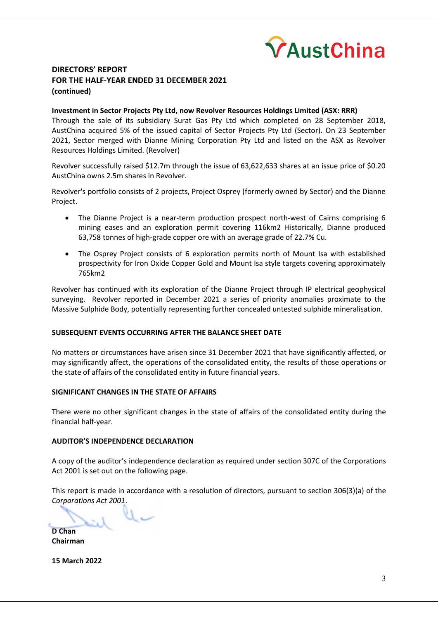

## **DIRECTORS' REPORT FOR THE HALF-YEAR ENDED 31 DECEMBER 2021 (continued)**

### **Investment in Sector Projects Pty Ltd, now Revolver Resources Holdings Limited (ASX: RRR)**

Through the sale of its subsidiary Surat Gas Pty Ltd which completed on 28 September 2018, AustChina acquired 5% of the issued capital of Sector Projects Pty Ltd (Sector). On 23 September 2021, Sector merged with Dianne Mining Corporation Pty Ltd and listed on the ASX as Revolver Resources Holdings Limited. (Revolver)

Revolver successfully raised \$12.7m through the issue of 63,622,633 shares at an issue price of \$0.20 AustChina owns 2.5m shares in Revolver.

Revolver's portfolio consists of 2 projects, Project Osprey (formerly owned by Sector) and the Dianne Project.

- The Dianne Project is a near-term production prospect north-west of Cairns comprising 6 mining eases and an exploration permit covering 116km2 Historically, Dianne produced 63,758 tonnes of high-grade copper ore with an average grade of 22.7% Cu.
- The Osprey Project consists of 6 exploration permits north of Mount Isa with established prospectivity for Iron Oxide Copper Gold and Mount Isa style targets covering approximately 765km2

Revolver has continued with its exploration of the Dianne Project through IP electrical geophysical surveying. Revolver reported in December 2021 a series of priority anomalies proximate to the Massive Sulphide Body, potentially representing further concealed untested sulphide mineralisation.

### **SUBSEQUENT EVENTS OCCURRING AFTER THE BALANCE SHEET DATE**

No matters or circumstances have arisen since 31 December 2021 that have significantly affected, or may significantly affect, the operations of the consolidated entity, the results of those operations or the state of affairs of the consolidated entity in future financial years.

#### **SIGNIFICANT CHANGES IN THE STATE OF AFFAIRS**

There were no other significant changes in the state of affairs of the consolidated entity during the financial half-year.

#### **AUDITOR'S INDEPENDENCE DECLARATION**

A copy of the auditor's independence declaration as required under section 307C of the Corporations Act 2001 is set out on the following page.

This report is made in accordance with a resolution of directors, pursuant to section 306(3)(a) of the *Corporations Act 2001*.

**D Chan**

**Chairman**

**15 March 2022**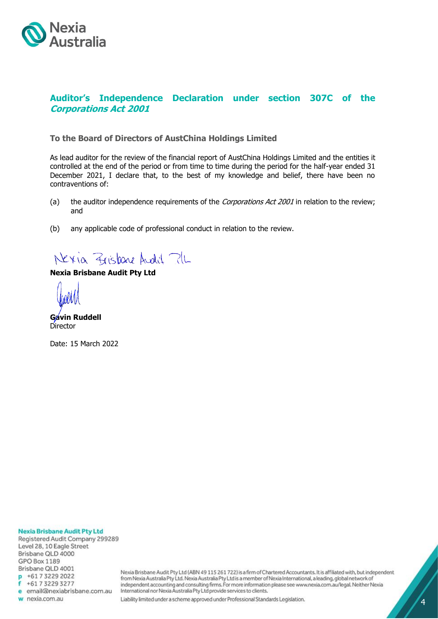

# **Auditor's Independence Declaration under section 307C of the Corporations Act 2001**

### **To the Board of Directors of AustChina Holdings Limited**

As lead auditor for the review of the financial report of AustChina Holdings Limited and the entities it controlled at the end of the period or from time to time during the period for the half-year ended 31 December 2021, I declare that, to the best of my knowledge and belief, there have been no contraventions of:

- (a) the auditor independence requirements of the *Corporations Act 2001* in relation to the review; and
- (b) any applicable code of professional conduct in relation to the review.

Nexia Zrisbane Audit ?1L

### **Nexia Brisbane Audit Pty Ltd**

**Gavin Ruddell Director** 

Date: 15 March 2022

**Nexia Brisbane Audit Pty Ltd** Registered Audit Company 299289 Level 28, 10 Eagle Street Brisbane QLD 4000 **GPO Box 1189** Brisbane QLD 4001 p +61732292022 +61732293277 e email@nexiabrisbane.com.au w nexia.com.au

Nexia Brisbane Audit Pty Ltd (ABN 49 115 261 722) is a firm of Chartered Accountants. It is affiliated with, but independent from Nexia Australia Pty Ltd. Nexia Australia Pty Ltd is a member of Nexia International, a leading, global network of independent accounting and consulting firms. For more information please see www.nexia.com.au/legal. Neither Nexia International nor Nexia Australia Pty Ltd provide services to clients.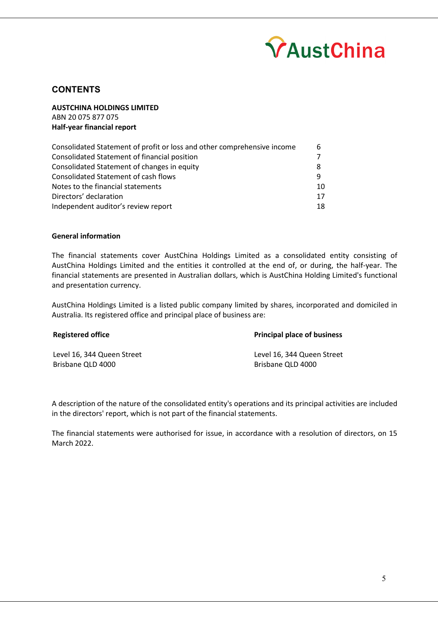

# **CONTENTS**

**AUSTCHINA HOLDINGS LIMITED** ABN 20 075 877 075 **Half-year financial report**

| Consolidated Statement of profit or loss and other comprehensive income | 6  |
|-------------------------------------------------------------------------|----|
| Consolidated Statement of financial position                            |    |
| Consolidated Statement of changes in equity                             |    |
| <b>Consolidated Statement of cash flows</b>                             | Q  |
| Notes to the financial statements                                       | 10 |
| Directors' declaration                                                  | 17 |
| Independent auditor's review report                                     | 18 |

### **General information**

The financial statements cover AustChina Holdings Limited as a consolidated entity consisting of AustChina Holdings Limited and the entities it controlled at the end of, or during, the half-year. The financial statements are presented in Australian dollars, which is AustChina Holding Limited's functional and presentation currency.

AustChina Holdings Limited is a listed public company limited by shares, incorporated and domiciled in Australia. Its registered office and principal place of business are:

| <b>Principal place of business</b>              |
|-------------------------------------------------|
| Level 16, 344 Queen Street<br>Brisbane QLD 4000 |
|                                                 |

A description of the nature of the consolidated entity's operations and its principal activities are included in the directors' report, which is not part of the financial statements.

The financial statements were authorised for issue, in accordance with a resolution of directors, on 15 March 2022.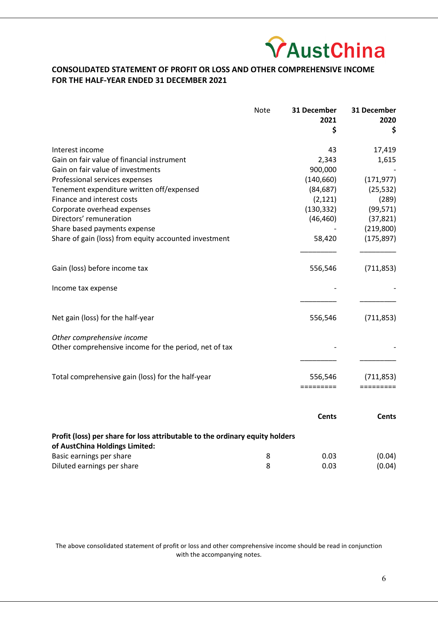

# **CONSOLIDATED STATEMENT OF PROFIT OR LOSS AND OTHER COMPREHENSIVE INCOME FOR THE HALF-YEAR ENDED 31 DECEMBER 2021**

|                                                                                     | <b>Note</b> | 31 December<br>2021 | 31 December<br>2020 |
|-------------------------------------------------------------------------------------|-------------|---------------------|---------------------|
|                                                                                     |             | \$                  | \$                  |
| Interest income                                                                     |             | 43                  | 17,419              |
| Gain on fair value of financial instrument                                          |             | 2,343               | 1,615               |
| Gain on fair value of investments                                                   |             | 900,000             |                     |
| Professional services expenses                                                      |             | (140, 660)          | (171, 977)          |
| Tenement expenditure written off/expensed                                           |             | (84, 687)           | (25, 532)           |
| Finance and interest costs                                                          |             | (2, 121)            | (289)               |
| Corporate overhead expenses                                                         |             | (130, 332)          | (99, 571)           |
| Directors' remuneration                                                             |             | (46, 460)           | (37, 821)           |
| Share based payments expense                                                        |             |                     | (219, 800)          |
| Share of gain (loss) from equity accounted investment                               |             | 58,420              | (175, 897)          |
| Gain (loss) before income tax                                                       |             | 556,546             | (711, 853)          |
| Income tax expense                                                                  |             |                     |                     |
| Net gain (loss) for the half-year                                                   |             | 556,546             | (711, 853)          |
| Other comprehensive income<br>Other comprehensive income for the period, net of tax |             |                     |                     |
| Total comprehensive gain (loss) for the half-year                                   |             | 556.546             | (711.853)           |
|                                                                                     |             | =========           |                     |

|                                                                                                                |   | Cents | Cents  |
|----------------------------------------------------------------------------------------------------------------|---|-------|--------|
| Profit (loss) per share for loss attributable to the ordinary equity holders<br>of AustChina Holdings Limited: |   |       |        |
| Basic earnings per share                                                                                       | 8 | 0.03  | (0.04) |
| Diluted earnings per share                                                                                     | 8 | 0.03  | (0.04) |

The above consolidated statement of profit or loss and other comprehensive income should be read in conjunction with the accompanying notes.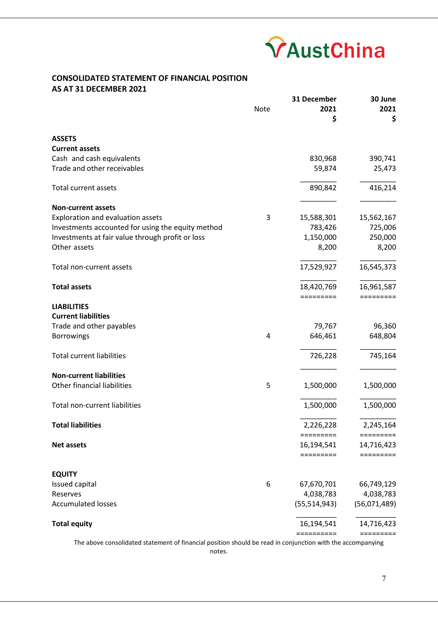

## **CONSOLIDATED STATEMENT OF FINANCIAL POSITION AS AT 31 DECEMBER 2021**

|                                                   |             | 31 December    | 30 June                                 |
|---------------------------------------------------|-------------|----------------|-----------------------------------------|
|                                                   | <b>Note</b> | 2021           | 2021                                    |
|                                                   |             | \$             | \$                                      |
| <b>ASSETS</b>                                     |             |                |                                         |
| <b>Current assets</b>                             |             |                |                                         |
| Cash and cash equivalents                         |             | 830,968        | 390,741                                 |
| Trade and other receivables                       |             | 59,874         | 25,473                                  |
|                                                   |             |                |                                         |
| <b>Total current assets</b>                       |             | 890,842        | 416,214                                 |
|                                                   |             |                |                                         |
| <b>Non-current assets</b>                         |             |                |                                         |
| Exploration and evaluation assets                 | 3           | 15,588,301     | 15,562,167                              |
| Investments accounted for using the equity method |             | 783,426        | 725,006                                 |
| Investments at fair value through profit or loss  |             | 1,150,000      | 250,000                                 |
| Other assets                                      |             | 8,200          | 8,200                                   |
|                                                   |             |                |                                         |
| Total non-current assets                          |             | 17,529,927     | 16,545,373                              |
| <b>Total assets</b>                               |             | 18,420,769     | 16,961,587                              |
|                                                   |             |                | =========                               |
| <b>LIABILITIES</b>                                |             |                |                                         |
| <b>Current liabilities</b>                        |             |                |                                         |
| Trade and other payables                          |             | 79,767         | 96,360                                  |
| <b>Borrowings</b>                                 | 4           | 646,461        | 648,804                                 |
|                                                   |             |                |                                         |
| <b>Total current liabilities</b>                  |             | 726,228        | 745,164                                 |
|                                                   |             |                |                                         |
| <b>Non-current liabilities</b>                    |             |                |                                         |
| Other financial liabilities                       | 5           | 1,500,000      | 1,500,000                               |
|                                                   |             |                |                                         |
| Total non-current liabilities                     |             | 1,500,000      | 1,500,000                               |
| <b>Total liabilities</b>                          |             | 2,226,228      | 2,245,164                               |
|                                                   |             | =========      | =========                               |
| <b>Net assets</b>                                 |             | 16,194,541     | 14,716,423                              |
|                                                   |             |                | $=$ $=$ $=$ $=$ $=$ $=$ $=$ $=$ $=$ $=$ |
| <b>EQUITY</b>                                     |             |                |                                         |
| Issued capital                                    | 6           | 67,670,701     | 66,749,129                              |
| Reserves                                          |             | 4,038,783      | 4,038,783                               |
| <b>Accumulated losses</b>                         |             | (55, 514, 943) | (56,071,489)                            |
|                                                   |             |                |                                         |
| <b>Total equity</b>                               |             | 16,194,541     | 14,716,423                              |
|                                                   |             | ==========     | =========                               |

The above consolidated statement of financial position should be read in conjunction with the accompanying notes.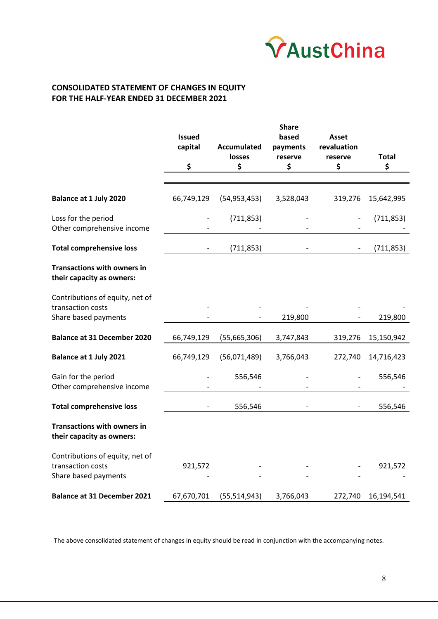

# **CONSOLIDATED STATEMENT OF CHANGES IN EQUITY FOR THE HALF-YEAR ENDED 31 DECEMBER 2021**

|                                                                 | <b>Issued</b><br>capital | <b>Accumulated</b><br>losses | <b>Share</b><br>based<br>payments<br>reserve | <b>Asset</b><br>revaluation<br>reserve | <b>Total</b> |
|-----------------------------------------------------------------|--------------------------|------------------------------|----------------------------------------------|----------------------------------------|--------------|
|                                                                 | \$                       | \$                           | \$                                           | \$                                     | \$           |
|                                                                 |                          |                              |                                              |                                        |              |
| <b>Balance at 1 July 2020</b>                                   | 66,749,129               | (54, 953, 453)               | 3,528,043                                    | 319,276                                | 15,642,995   |
| Loss for the period<br>Other comprehensive income               |                          | (711, 853)                   |                                              |                                        | (711, 853)   |
| <b>Total comprehensive loss</b>                                 |                          | (711, 853)                   |                                              |                                        | (711, 853)   |
| <b>Transactions with owners in</b><br>their capacity as owners: |                          |                              |                                              |                                        |              |
| Contributions of equity, net of<br>transaction costs            |                          |                              |                                              |                                        |              |
| Share based payments                                            |                          |                              | 219,800                                      |                                        | 219,800      |
| <b>Balance at 31 December 2020</b>                              | 66,749,129               | (55,665,306)                 | 3,747,843                                    | 319,276                                | 15,150,942   |
| <b>Balance at 1 July 2021</b>                                   | 66,749,129               | (56,071,489)                 | 3,766,043                                    | 272,740                                | 14,716,423   |
| Gain for the period<br>Other comprehensive income               |                          | 556,546                      |                                              |                                        | 556,546      |
| <b>Total comprehensive loss</b>                                 |                          | 556,546                      |                                              |                                        | 556,546      |
| <b>Transactions with owners in</b><br>their capacity as owners: |                          |                              |                                              |                                        |              |
| Contributions of equity, net of                                 |                          |                              |                                              |                                        |              |
| transaction costs<br>Share based payments                       | 921,572                  |                              |                                              |                                        | 921,572      |
| <b>Balance at 31 December 2021</b>                              | 67,670,701               | (55, 514, 943)               | 3,766,043                                    | 272,740                                | 16,194,541   |

The above consolidated statement of changes in equity should be read in conjunction with the accompanying notes.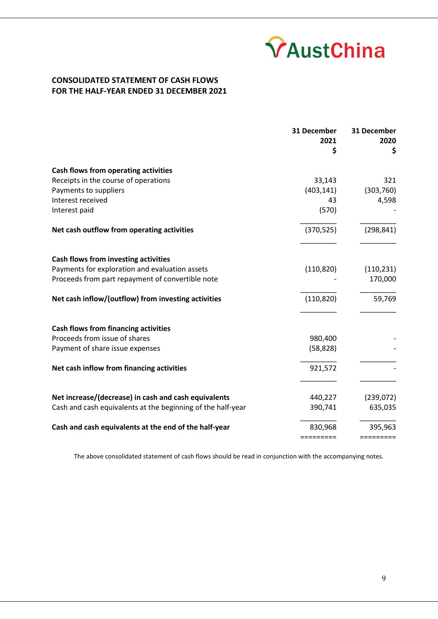

## **CONSOLIDATED STATEMENT OF CASH FLOWS FOR THE HALF-YEAR ENDED 31 DECEMBER 2021**

|                                                             | 31 December<br>2021<br>\$ | 31 December<br>2020<br>\$ |
|-------------------------------------------------------------|---------------------------|---------------------------|
| Cash flows from operating activities                        |                           |                           |
| Receipts in the course of operations                        | 33,143                    | 321                       |
| Payments to suppliers                                       | (403, 141)                | (303, 760)                |
| Interest received                                           | 43                        | 4,598                     |
| Interest paid                                               | (570)                     |                           |
| Net cash outflow from operating activities                  | (370, 525)                | (298, 841)                |
| Cash flows from investing activities                        |                           |                           |
| Payments for exploration and evaluation assets              | (110, 820)                | (110, 231)                |
| Proceeds from part repayment of convertible note            |                           | 170,000                   |
| Net cash inflow/(outflow) from investing activities         | (110, 820)                | 59,769                    |
| <b>Cash flows from financing activities</b>                 |                           |                           |
| Proceeds from issue of shares                               | 980,400                   |                           |
| Payment of share issue expenses                             | (58, 828)                 |                           |
| Net cash inflow from financing activities                   | 921,572                   |                           |
| Net increase/(decrease) in cash and cash equivalents        | 440,227                   | (239,072)                 |
| Cash and cash equivalents at the beginning of the half-year | 390,741                   | 635,035                   |
| Cash and cash equivalents at the end of the half-year       | 830,968                   | 395,963                   |
|                                                             | =========                 | =========                 |

The above consolidated statement of cash flows should be read in conjunction with the accompanying notes.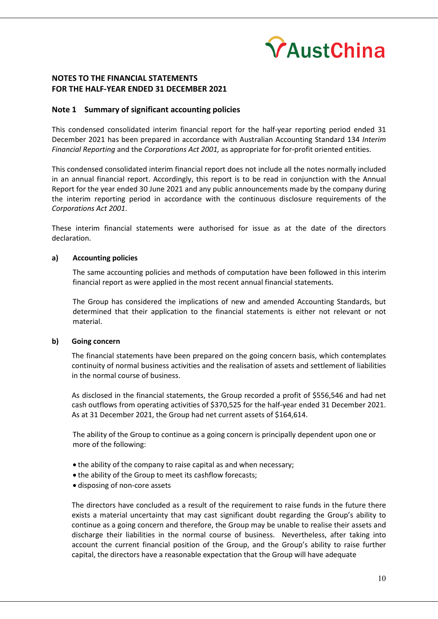

### **Note 1 Summary of significant accounting policies**

This condensed consolidated interim financial report for the half-year reporting period ended 31 December 2021 has been prepared in accordance with Australian Accounting Standard 134 *Interim Financial Reporting* and the *Corporations Act 2001,* as appropriate for for-profit oriented entities.

This condensed consolidated interim financial report does not include all the notes normally included in an annual financial report. Accordingly, this report is to be read in conjunction with the Annual Report for the year ended 30 June 2021 and any public announcements made by the company during the interim reporting period in accordance with the continuous disclosure requirements of the *Corporations Act 2001*.

These interim financial statements were authorised for issue as at the date of the directors declaration.

### **a) Accounting policies**

The same accounting policies and methods of computation have been followed in this interim financial report as were applied in the most recent annual financial statements.

The Group has considered the implications of new and amended Accounting Standards, but determined that their application to the financial statements is either not relevant or not material.

### **b) Going concern**

The financial statements have been prepared on the going concern basis, which contemplates continuity of normal business activities and the realisation of assets and settlement of liabilities in the normal course of business.

As disclosed in the financial statements, the Group recorded a profit of \$556,546 and had net cash outflows from operating activities of \$370,525 for the half-year ended 31 December 2021. As at 31 December 2021, the Group had net current assets of \$164,614.

The ability of the Group to continue as a going concern is principally dependent upon one or more of the following:

- the ability of the company to raise capital as and when necessary;
- the ability of the Group to meet its cashflow forecasts;
- disposing of non-core assets

The directors have concluded as a result of the requirement to raise funds in the future there exists a material uncertainty that may cast significant doubt regarding the Group's ability to continue as a going concern and therefore, the Group may be unable to realise their assets and discharge their liabilities in the normal course of business. Nevertheless, after taking into account the current financial position of the Group, and the Group's ability to raise further capital, the directors have a reasonable expectation that the Group will have adequate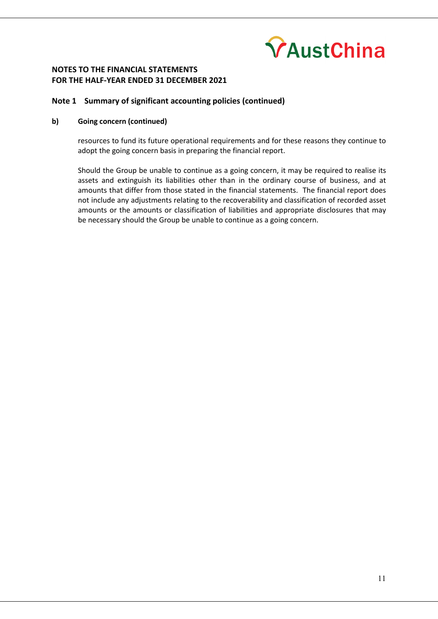

### **Note 1 Summary of significant accounting policies (continued)**

### **b) Going concern (continued)**

resources to fund its future operational requirements and for these reasons they continue to adopt the going concern basis in preparing the financial report.

Should the Group be unable to continue as a going concern, it may be required to realise its assets and extinguish its liabilities other than in the ordinary course of business, and at amounts that differ from those stated in the financial statements. The financial report does not include any adjustments relating to the recoverability and classification of recorded asset amounts or the amounts or classification of liabilities and appropriate disclosures that may be necessary should the Group be unable to continue as a going concern.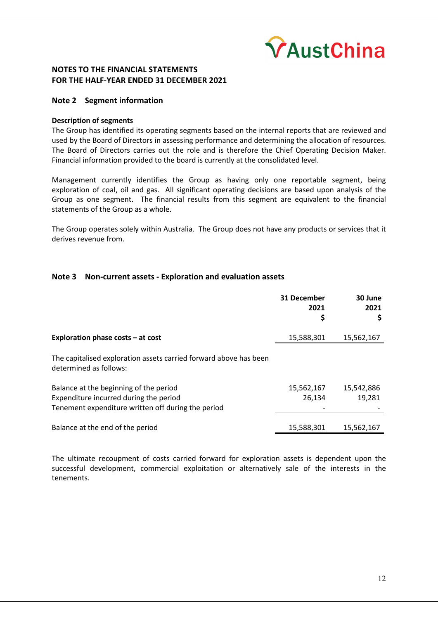

### **Note 2 Segment information**

### **Description of segments**

The Group has identified its operating segments based on the internal reports that are reviewed and used by the Board of Directors in assessing performance and determining the allocation of resources. The Board of Directors carries out the role and is therefore the Chief Operating Decision Maker. Financial information provided to the board is currently at the consolidated level.

Management currently identifies the Group as having only one reportable segment, being exploration of coal, oil and gas. All significant operating decisions are based upon analysis of the Group as one segment. The financial results from this segment are equivalent to the financial statements of the Group as a whole.

The Group operates solely within Australia. The Group does not have any products or services that it derives revenue from.

### **Note 3 Non-current assets - Exploration and evaluation assets**

|                                                                                                                                        | 31 December<br>2021<br>\$ | 30 June<br>2021      |
|----------------------------------------------------------------------------------------------------------------------------------------|---------------------------|----------------------|
| Exploration phase costs $-$ at cost                                                                                                    | 15,588,301                | 15,562,167           |
| The capitalised exploration assets carried forward above has been<br>determined as follows:                                            |                           |                      |
| Balance at the beginning of the period<br>Expenditure incurred during the period<br>Tenement expenditure written off during the period | 15,562,167<br>26,134      | 15,542,886<br>19,281 |
| Balance at the end of the period                                                                                                       | 15,588,301                | 15,562,167           |

The ultimate recoupment of costs carried forward for exploration assets is dependent upon the successful development, commercial exploitation or alternatively sale of the interests in the tenements.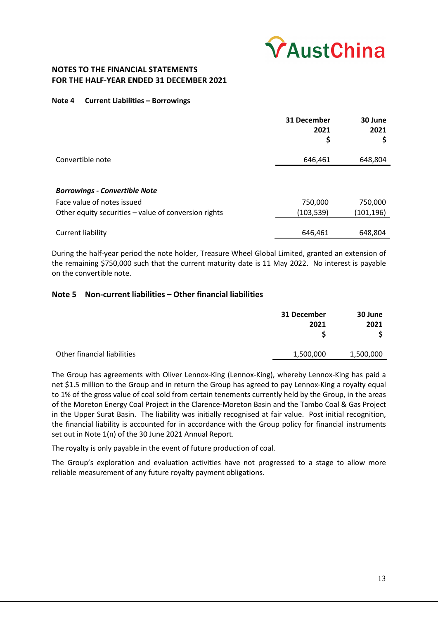

### **Note 4 Current Liabilities – Borrowings**

|                                                      | 31 December<br>2021<br>\$ | 30 June<br>2021<br>Ş |
|------------------------------------------------------|---------------------------|----------------------|
| Convertible note                                     | 646,461                   | 648,804              |
|                                                      |                           |                      |
| <b>Borrowings - Convertible Note</b>                 |                           |                      |
| Face value of notes issued                           | 750,000                   | 750,000              |
| Other equity securities - value of conversion rights | (103,539)                 | (101, 196)           |
| Current liability                                    | 646,461                   | 648,804              |

During the half-year period the note holder, Treasure Wheel Global Limited, granted an extension of the remaining \$750,000 such that the current maturity date is 11 May 2022. No interest is payable on the convertible note.

### **Note 5 Non-current liabilities – Other financial liabilities**

|                             | 31 December<br>2021 | 30 June<br>2021 |
|-----------------------------|---------------------|-----------------|
| Other financial liabilities | 1,500,000           | 1,500,000       |

The Group has agreements with Oliver Lennox-King (Lennox-King), whereby Lennox-King has paid a net \$1.5 million to the Group and in return the Group has agreed to pay Lennox-King a royalty equal to 1% of the gross value of coal sold from certain tenements currently held by the Group, in the areas of the Moreton Energy Coal Project in the Clarence-Moreton Basin and the Tambo Coal & Gas Project in the Upper Surat Basin. The liability was initially recognised at fair value. Post initial recognition, the financial liability is accounted for in accordance with the Group policy for financial instruments set out in Note 1(n) of the 30 June 2021 Annual Report.

The royalty is only payable in the event of future production of coal.

The Group's exploration and evaluation activities have not progressed to a stage to allow more reliable measurement of any future royalty payment obligations.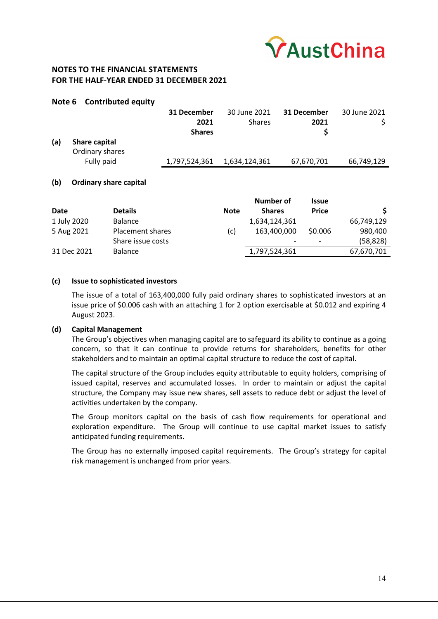

### **Note 6 Contributed equity**

|     |                 | 31 December   | 30 June 2021  | 31 December | 30 June 2021 |
|-----|-----------------|---------------|---------------|-------------|--------------|
|     |                 | 2021          | <b>Shares</b> | 2021        |              |
|     |                 | <b>Shares</b> |               |             |              |
| (a) | Share capital   |               |               |             |              |
|     | Ordinary shares |               |               |             |              |
|     | Fully paid      | 1,797,524,361 | 1,634,124,361 | 67,670,701  | 66,749,129   |

### **(b) Ordinary share capital**

|             |                   |             | Number of     | <b>Issue</b>             |            |
|-------------|-------------------|-------------|---------------|--------------------------|------------|
| Date        | <b>Details</b>    | <b>Note</b> | <b>Shares</b> | <b>Price</b>             |            |
| 1 July 2020 | <b>Balance</b>    |             | 1,634,124,361 |                          | 66,749,129 |
| 5 Aug 2021  | Placement shares  | (c)         | 163,400,000   | \$0.006                  | 980,400    |
|             | Share issue costs |             |               | $\overline{\phantom{0}}$ | (58, 828)  |
| 31 Dec 2021 | <b>Balance</b>    |             | 1,797,524,361 |                          | 67,670,701 |

### **(c) Issue to sophisticated investors**

The issue of a total of 163,400,000 fully paid ordinary shares to sophisticated investors at an issue price of \$0.006 cash with an attaching 1 for 2 option exercisable at \$0.012 and expiring 4 August 2023.

#### **(d) Capital Management**

The Group's objectives when managing capital are to safeguard its ability to continue as a going concern, so that it can continue to provide returns for shareholders, benefits for other stakeholders and to maintain an optimal capital structure to reduce the cost of capital.

The capital structure of the Group includes equity attributable to equity holders, comprising of issued capital, reserves and accumulated losses. In order to maintain or adjust the capital structure, the Company may issue new shares, sell assets to reduce debt or adjust the level of activities undertaken by the company.

The Group monitors capital on the basis of cash flow requirements for operational and exploration expenditure. The Group will continue to use capital market issues to satisfy anticipated funding requirements.

The Group has no externally imposed capital requirements. The Group's strategy for capital risk management is unchanged from prior years.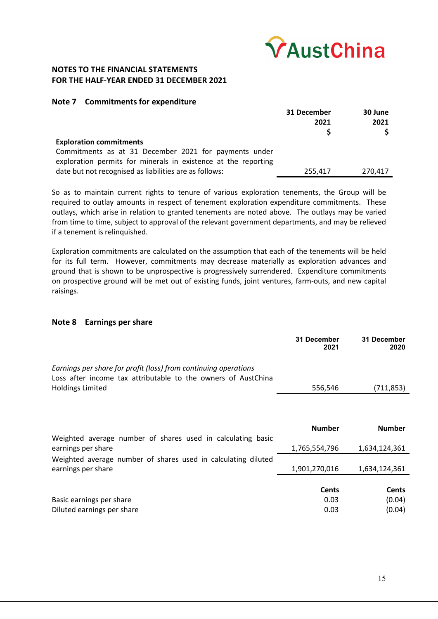

### **Note 7 Commitments for expenditure**

|                                                                | 31 December | 30 June |
|----------------------------------------------------------------|-------------|---------|
|                                                                | 2021        | 2021    |
|                                                                |             |         |
| <b>Exploration commitments</b>                                 |             |         |
| Commitments as at 31 December 2021 for payments under          |             |         |
| exploration permits for minerals in existence at the reporting |             |         |
| date but not recognised as liabilities are as follows:         | 255,417     | 270,417 |

So as to maintain current rights to tenure of various exploration tenements, the Group will be required to outlay amounts in respect of tenement exploration expenditure commitments. These outlays, which arise in relation to granted tenements are noted above. The outlays may be varied from time to time, subject to approval of the relevant government departments, and may be relieved if a tenement is relinquished.

Exploration commitments are calculated on the assumption that each of the tenements will be held for its full term. However, commitments may decrease materially as exploration advances and ground that is shown to be unprospective is progressively surrendered. Expenditure commitments on prospective ground will be met out of existing funds, joint ventures, farm-outs, and new capital raisings.

### **Note 8 Earnings per share**

|                                                                                                                                  | 31 December<br>2021 | 31 December<br>2020 |
|----------------------------------------------------------------------------------------------------------------------------------|---------------------|---------------------|
| Earnings per share for profit (loss) from continuing operations<br>Loss after income tax attributable to the owners of AustChina |                     |                     |
| Holdings Limited                                                                                                                 | 556,546             | (711,853)           |
|                                                                                                                                  |                     |                     |
|                                                                                                                                  | <b>Number</b>       | <b>Number</b>       |
| Weighted average number of shares used in calculating basic                                                                      |                     |                     |
| earnings per share                                                                                                               | 1,765,554,796       | 1,634,124,361       |
| Weighted average number of shares used in calculating diluted                                                                    |                     |                     |

|                            | <b>Cents</b> | Cents  |
|----------------------------|--------------|--------|
| Basic earnings per share   | 0.03         | (0.04) |
| Diluted earnings per share | 0.03         | (0.04) |

earnings per share 1,901,270,016 1,634,124,361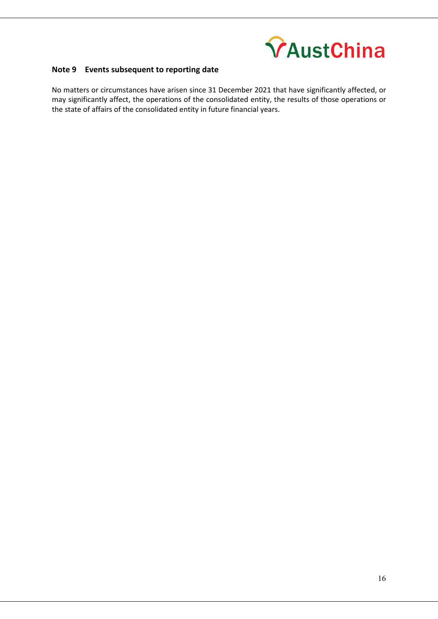

# **Note 9 Events subsequent to reporting date**

No matters or circumstances have arisen since 31 December 2021 that have significantly affected, or may significantly affect, the operations of the consolidated entity, the results of those operations or the state of affairs of the consolidated entity in future financial years.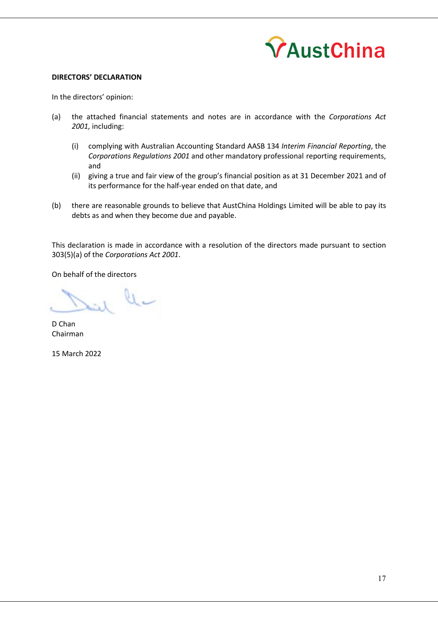

### **DIRECTORS' DECLARATION**

In the directors' opinion:

- (a) the attached financial statements and notes are in accordance with the *Corporations Act 2001,* including:
	- (i) complying with Australian Accounting Standard AASB 134 *Interim Financial Reporting*, the *Corporations Regulations 2001* and other mandatory professional reporting requirements, and
	- (ii) giving a true and fair view of the group's financial position as at 31 December 2021 and of its performance for the half-year ended on that date, and
- (b) there are reasonable grounds to believe that AustChina Holdings Limited will be able to pay its debts as and when they become due and payable.

This declaration is made in accordance with a resolution of the directors made pursuant to section 303(5)(a) of the *Corporations Act 2001*.

On behalf of the directors

U L

D Chan Chairman

15 March 2022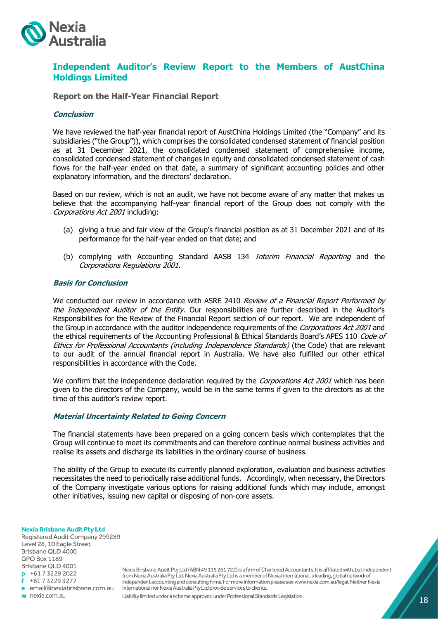

# **Independent Auditor's Review Report to the Members of AustChina Holdings Limited**

**Report on the Half-Year Financial Report**

### **Conclusion**

We have reviewed the half-year financial report of AustChina Holdings Limited (the "Company" and its subsidiaries ("the Group")), which comprises the consolidated condensed statement of financial position as at 31 December 2021, the consolidated condensed statement of comprehensive income, consolidated condensed statement of changes in equity and consolidated condensed statement of cash flows for the half-year ended on that date, a summary of significant accounting policies and other explanatory information, and the directors' declaration.

Based on our review, which is not an audit, we have not become aware of any matter that makes us believe that the accompanying half-year financial report of the Group does not comply with the Corporations Act 2001 including:

- (a) giving a true and fair view of the Group's financial position as at 31 December 2021 and of its performance for the half-year ended on that date; and
- (b) complying with Accounting Standard AASB 134 Interim Financial Reporting and the Corporations Regulations 2001.

### **Basis for Conclusion**

We conducted our review in accordance with ASRE 2410 Review of a Financial Report Performed by the Independent Auditor of the Entity. Our responsibilities are further described in the Auditor's Responsibilities for the Review of the Financial Report section of our report. We are independent of the Group in accordance with the auditor independence requirements of the Corporations Act 2001 and the ethical requirements of the Accounting Professional & Ethical Standards Board's APES 110 Code of Ethics for Professional Accountants (including Independence Standards) (the Code) that are relevant to our audit of the annual financial report in Australia. We have also fulfilled our other ethical responsibilities in accordance with the Code.

We confirm that the independence declaration required by the Corporations Act 2001 which has been given to the directors of the Company, would be in the same terms if given to the directors as at the time of this auditor's review report.

#### **Material Uncertainty Related to Going Concern**

The financial statements have been prepared on a going concern basis which contemplates that the Group will continue to meet its commitments and can therefore continue normal business activities and realise its assets and discharge its liabilities in the ordinary course of business.

The ability of the Group to execute its currently planned exploration, evaluation and business activities necessitates the need to periodically raise additional funds. Accordingly, when necessary, the Directors of the Company investigate various options for raising additional funds which may include, amongst other initiatives, issuing new capital or disposing of non-core assets.

**Nexia Brisbane Audit Pty Ltd** Registered Audit Company 299289 Level 28, 10 Eagle Street Brisbane QLD 4000 GPO Box 1189 Brisbane QLD 4001  $p + 61732292022$  $f$  +61 7 3229 3277 e email@nexiabrisbane.com.au w nexia.com.au

Nexia Brisbane Audit Pty Ltd (ABN 49 115 261 722) is a firm of Chartered Accountants. It is affiliated with, but independent from Nexia Australia Pty Ltd. Nexia Australia Pty Ltd is a member of Nexia International, a leading, global network of independent accounting and consulting firms. For more information please see www.nexia.com.au/legal. Neither Nexia International nor Nexia Australia Pty Ltd provide services to clients.

Liability limited under a scheme approved under Professional Standards Legislation.